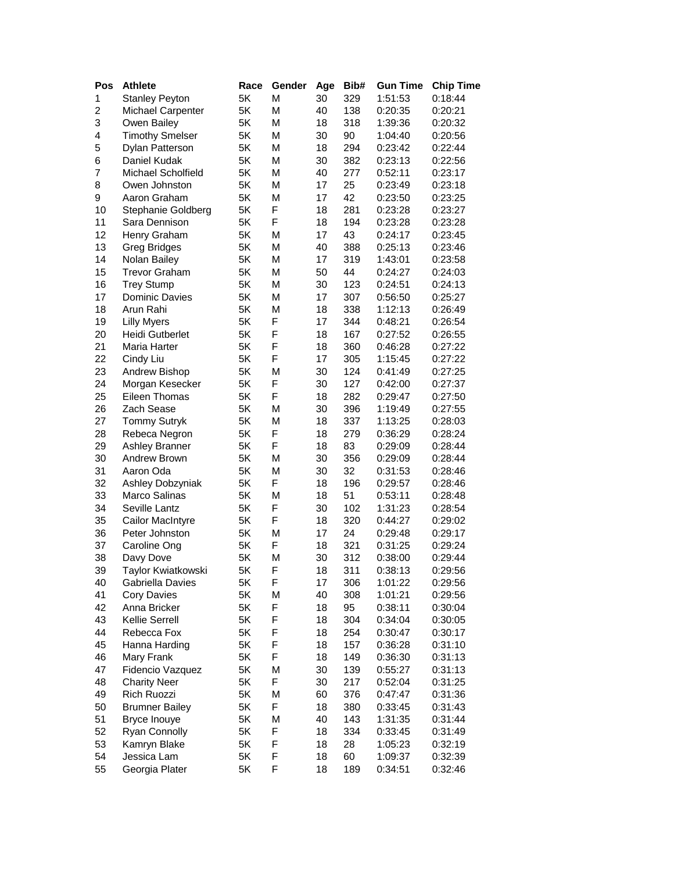| Pos | <b>Athlete</b>         | Race | Gender | Age | Bib# | <b>Gun Time</b> | <b>Chip Time</b> |
|-----|------------------------|------|--------|-----|------|-----------------|------------------|
| 1   | <b>Stanley Peyton</b>  | 5K   | М      | 30  | 329  | 1:51:53         | 0:18:44          |
| 2   | Michael Carpenter      | 5K   | М      | 40  | 138  | 0:20:35         | 0:20:21          |
| 3   | Owen Bailey            | 5K   | М      | 18  | 318  | 1:39:36         | 0:20:32          |
| 4   | <b>Timothy Smelser</b> | 5K   | М      | 30  | 90   | 1:04:40         | 0:20:56          |
| 5   | Dylan Patterson        | 5K   | М      | 18  | 294  | 0:23:42         | 0:22:44          |
| 6   | Daniel Kudak           | 5K   | М      | 30  | 382  | 0:23:13         | 0:22:56          |
| 7   | Michael Scholfield     | 5K   | М      | 40  | 277  | 0:52:11         | 0:23:17          |
| 8   | Owen Johnston          | 5K   | М      | 17  | 25   | 0:23:49         | 0:23:18          |
| 9   | Aaron Graham           | 5K   | М      | 17  | 42   | 0:23:50         | 0:23:25          |
| 10  | Stephanie Goldberg     | 5K   | F      | 18  | 281  | 0:23:28         | 0:23:27          |
| 11  | Sara Dennison          | 5K   | F      | 18  | 194  | 0:23:28         | 0:23:28          |
| 12  | Henry Graham           | 5K   | М      | 17  | 43   | 0:24:17         | 0:23:45          |
| 13  | <b>Greg Bridges</b>    | 5K   | М      | 40  | 388  | 0:25:13         | 0:23:46          |
| 14  | Nolan Bailey           | 5K   | М      | 17  | 319  | 1:43:01         | 0:23:58          |
| 15  | <b>Trevor Graham</b>   | 5K   | М      | 50  | 44   | 0:24:27         | 0:24:03          |
| 16  | <b>Trey Stump</b>      | 5K   | М      | 30  | 123  | 0:24:51         | 0:24:13          |
| 17  | Dominic Davies         | 5K   | М      | 17  | 307  | 0:56:50         | 0:25:27          |
| 18  | Arun Rahi              | 5K   | М      | 18  | 338  | 1:12:13         | 0:26:49          |
| 19  | <b>Lilly Myers</b>     | 5K   | F      | 17  | 344  | 0:48:21         | 0:26:54          |
| 20  | <b>Heidi Gutberlet</b> | 5K   | F      | 18  | 167  | 0:27:52         | 0:26:55          |
| 21  | Maria Harter           | 5K   | F      | 18  | 360  | 0:46:28         | 0:27:22          |
| 22  | Cindy Liu              | 5K   | F      | 17  | 305  | 1:15:45         | 0:27:22          |
| 23  | Andrew Bishop          | 5K   | М      | 30  | 124  | 0:41:49         | 0:27:25          |
| 24  | Morgan Kesecker        | 5K   | F      | 30  | 127  | 0:42:00         | 0:27:37          |
| 25  | Eileen Thomas          | 5K   | F      | 18  | 282  | 0:29:47         | 0:27:50          |
| 26  | Zach Sease             | 5K   | М      | 30  | 396  | 1:19:49         | 0:27:55          |
| 27  | <b>Tommy Sutryk</b>    | 5K   | М      | 18  | 337  | 1:13:25         | 0:28:03          |
| 28  | Rebeca Negron          | 5K   | F      | 18  | 279  | 0:36:29         | 0:28:24          |
| 29  | Ashley Branner         | 5K   | F      | 18  | 83   | 0:29:09         | 0:28:44          |
| 30  | Andrew Brown           | 5K   | М      | 30  | 356  | 0:29:09         | 0:28:44          |
| 31  | Aaron Oda              | 5K   | М      | 30  | 32   | 0:31:53         | 0:28:46          |
| 32  | Ashley Dobzyniak       | 5K   | F      | 18  | 196  | 0:29:57         | 0:28:46          |
| 33  | Marco Salinas          | 5K   | М      | 18  | 51   | 0:53:11         | 0:28:48          |
| 34  | Seville Lantz          | 5K   | F      | 30  | 102  | 1:31:23         | 0:28:54          |
| 35  | Cailor MacIntyre       | 5K   | F      | 18  | 320  | 0:44:27         | 0:29:02          |
| 36  | Peter Johnston         | 5K   | М      | 17  | 24   | 0:29:48         | 0:29:17          |
| 37  | Caroline Ong           | 5K   | F      | 18  | 321  | 0:31:25         | 0:29:24          |
| 38  | Davy Dove              | 5K   | М      | 30  | 312  | 0:38:00         | 0:29:44          |
| 39  | Taylor Kwiatkowski     | 5K   | F      | 18  | 311  | 0:38:13         | 0:29:56          |
| 40  | Gabriella Davies       | 5K   | F      | 17  | 306  | 1:01:22         | 0:29:56          |
| 41  | <b>Cory Davies</b>     | 5K   | М      | 40  | 308  | 1:01:21         | 0:29:56          |
| 42  | Anna Bricker           | 5K   | F      | 18  | 95   | 0:38:11         | 0:30:04          |
| 43  | Kellie Serrell         | 5K   | F      | 18  | 304  | 0:34:04         | 0:30:05          |
| 44  | Rebecca Fox            | 5K   | F      | 18  | 254  | 0:30:47         | 0:30:17          |
| 45  | Hanna Harding          | 5K   | F      | 18  | 157  | 0:36:28         | 0:31:10          |
| 46  | Mary Frank             | 5K   | F      | 18  | 149  | 0:36:30         | 0:31:13          |
| 47  | Fidencio Vazquez       | 5K   | М      | 30  | 139  | 0:55:27         | 0:31:13          |
| 48  | <b>Charity Neer</b>    | 5K   | F      | 30  | 217  | 0:52:04         | 0:31:25          |
| 49  | Rich Ruozzi            | 5K   | М      | 60  | 376  | 0:47:47         | 0:31:36          |
| 50  | <b>Brumner Bailey</b>  | 5K   | F      | 18  | 380  | 0:33:45         | 0:31:43          |
| 51  | Bryce Inouye           | 5K   | Μ      | 40  | 143  | 1:31:35         | 0:31:44          |
| 52  | Ryan Connolly          | 5K   | F      | 18  | 334  | 0:33:45         | 0:31:49          |
| 53  | Kamryn Blake           | 5K   | F      | 18  | 28   | 1:05:23         | 0:32:19          |
| 54  | Jessica Lam            | 5K   | F      | 18  | 60   | 1:09:37         | 0:32:39          |
| 55  | Georgia Plater         | 5K   | F      | 18  | 189  | 0:34:51         | 0:32:46          |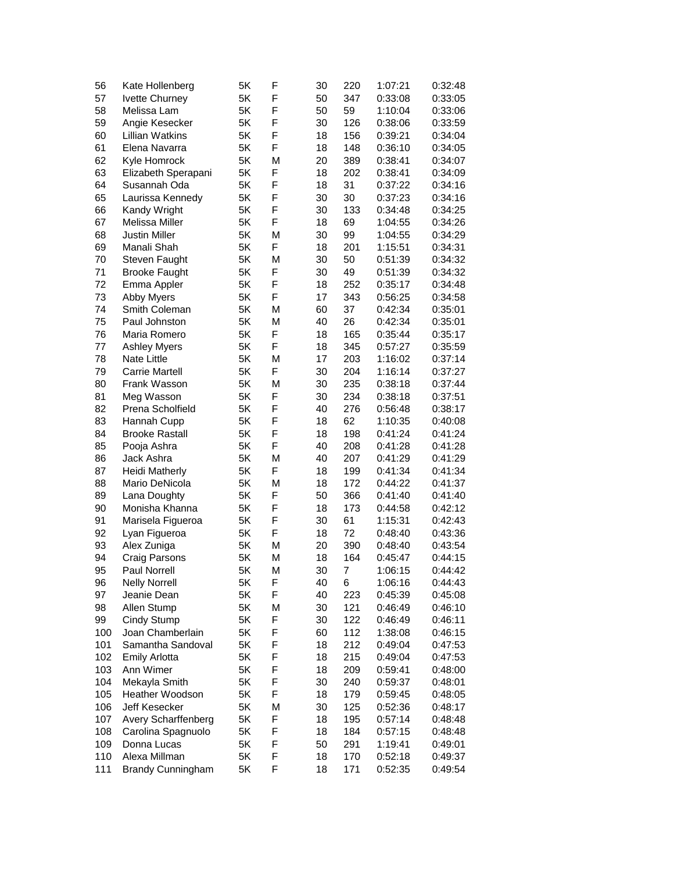| 56  | Kate Hollenberg          | 5K | F | 30 | 220 | 1:07:21 | 0:32:48 |
|-----|--------------------------|----|---|----|-----|---------|---------|
| 57  | Ivette Churney           | 5K | F | 50 | 347 | 0:33:08 | 0:33:05 |
| 58  | Melissa Lam              | 5K | F | 50 | 59  | 1:10:04 | 0:33:06 |
| 59  | Angie Kesecker           | 5K | F | 30 | 126 | 0:38:06 | 0:33:59 |
| 60  | <b>Lillian Watkins</b>   | 5K | F | 18 | 156 | 0:39:21 | 0:34:04 |
| 61  | Elena Navarra            | 5K | F | 18 | 148 | 0:36:10 | 0:34:05 |
| 62  | Kyle Homrock             | 5K | М | 20 | 389 | 0:38:41 | 0:34:07 |
| 63  | Elizabeth Sperapani      | 5K | F | 18 | 202 | 0:38:41 | 0:34:09 |
| 64  | Susannah Oda             | 5K | F | 18 | 31  | 0:37:22 | 0:34:16 |
| 65  | Laurissa Kennedy         | 5K | F | 30 | 30  | 0:37:23 | 0:34:16 |
| 66  | Kandy Wright             | 5K | F | 30 | 133 | 0:34:48 | 0:34:25 |
| 67  | Melissa Miller           | 5K | F | 18 | 69  | 1:04:55 | 0:34:26 |
| 68  | <b>Justin Miller</b>     | 5K | М | 30 | 99  | 1:04:55 | 0:34:29 |
| 69  | Manali Shah              | 5K | F | 18 | 201 | 1:15:51 | 0:34:31 |
| 70  | Steven Faught            | 5K | М | 30 | 50  | 0:51:39 | 0:34:32 |
| 71  | <b>Brooke Faught</b>     | 5K | F | 30 | 49  | 0:51:39 | 0:34:32 |
| 72  | Emma Appler              | 5K | F | 18 | 252 | 0:35:17 | 0:34:48 |
| 73  | <b>Abby Myers</b>        | 5K | F | 17 | 343 | 0:56:25 | 0:34:58 |
| 74  | Smith Coleman            | 5K | М | 60 | 37  | 0:42:34 | 0:35:01 |
| 75  | Paul Johnston            | 5K | М | 40 | 26  | 0:42:34 | 0:35:01 |
| 76  | Maria Romero             | 5K | F | 18 | 165 | 0:35:44 | 0:35:17 |
| 77  | <b>Ashley Myers</b>      | 5K | F | 18 | 345 | 0:57:27 | 0:35:59 |
| 78  | <b>Nate Little</b>       | 5K | М | 17 | 203 | 1:16:02 | 0:37:14 |
| 79  | <b>Carrie Martell</b>    | 5K | F | 30 | 204 | 1:16:14 | 0:37:27 |
| 80  | Frank Wasson             | 5K | М | 30 | 235 | 0:38:18 | 0:37:44 |
| 81  | Meg Wasson               | 5K | F | 30 | 234 | 0:38:18 | 0:37:51 |
| 82  | Prena Scholfield         | 5K | F | 40 | 276 | 0:56:48 | 0:38:17 |
| 83  | Hannah Cupp              | 5K | F | 18 | 62  | 1:10:35 | 0:40:08 |
| 84  | <b>Brooke Rastall</b>    | 5K | F | 18 | 198 | 0:41:24 | 0:41:24 |
| 85  | Pooja Ashra              | 5K | F | 40 | 208 | 0:41:28 | 0:41:28 |
| 86  | Jack Ashra               | 5K | М | 40 | 207 | 0:41:29 | 0:41:29 |
| 87  | Heidi Matherly           | 5K | F | 18 | 199 | 0:41:34 | 0:41:34 |
| 88  | Mario DeNicola           | 5K | М | 18 | 172 | 0:44:22 | 0:41:37 |
| 89  | Lana Doughty             | 5K | F | 50 | 366 | 0:41:40 | 0:41:40 |
| 90  | Monisha Khanna           | 5K | F | 18 | 173 | 0:44:58 | 0:42:12 |
| 91  | Marisela Figueroa        | 5K | F | 30 | 61  | 1:15:31 | 0:42:43 |
| 92  | Lyan Figueroa            | 5K | F | 18 | 72  | 0:48:40 | 0:43:36 |
| 93  | Alex Zuniga              | 5K | М | 20 | 390 | 0:48:40 | 0:43:54 |
| 94  | Craig Parsons            | 5K | M | 18 | 164 | 0:45:47 | 0:44:15 |
| 95  | Paul Norrell             | 5K | Μ | 30 | 7   | 1:06:15 | 0:44:42 |
| 96  | <b>Nelly Norrell</b>     | 5K | F | 40 | 6   | 1:06:16 | 0:44:43 |
| 97  | Jeanie Dean              | 5K | F | 40 | 223 | 0:45:39 | 0:45:08 |
| 98  | Allen Stump              | 5K | М | 30 | 121 | 0:46:49 | 0:46:10 |
| 99  | <b>Cindy Stump</b>       | 5K | F | 30 | 122 | 0:46:49 | 0:46:11 |
| 100 | Joan Chamberlain         | 5K | F | 60 | 112 | 1:38:08 | 0:46:15 |
| 101 | Samantha Sandoval        | 5K | F | 18 | 212 | 0:49:04 | 0:47:53 |
| 102 | <b>Emily Arlotta</b>     | 5K | F | 18 | 215 | 0:49:04 | 0:47:53 |
| 103 | Ann Wimer                | 5Κ | F | 18 | 209 | 0:59:41 | 0:48:00 |
| 104 | Mekayla Smith            | 5K | F | 30 | 240 | 0:59:37 | 0:48:01 |
| 105 | Heather Woodson          | 5K | F | 18 | 179 | 0:59:45 | 0:48:05 |
| 106 | Jeff Kesecker            | 5K | М | 30 | 125 | 0:52:36 | 0:48:17 |
| 107 | Avery Scharffenberg      | 5K | F | 18 | 195 | 0:57:14 | 0:48:48 |
| 108 | Carolina Spagnuolo       | 5Κ | F | 18 | 184 | 0:57:15 | 0:48:48 |
| 109 | Donna Lucas              | 5K | F | 50 | 291 | 1:19:41 | 0:49:01 |
| 110 | Alexa Millman            | 5K | F | 18 | 170 | 0:52:18 | 0:49:37 |
| 111 | <b>Brandy Cunningham</b> | 5K | F | 18 | 171 | 0:52:35 | 0:49:54 |
|     |                          |    |   |    |     |         |         |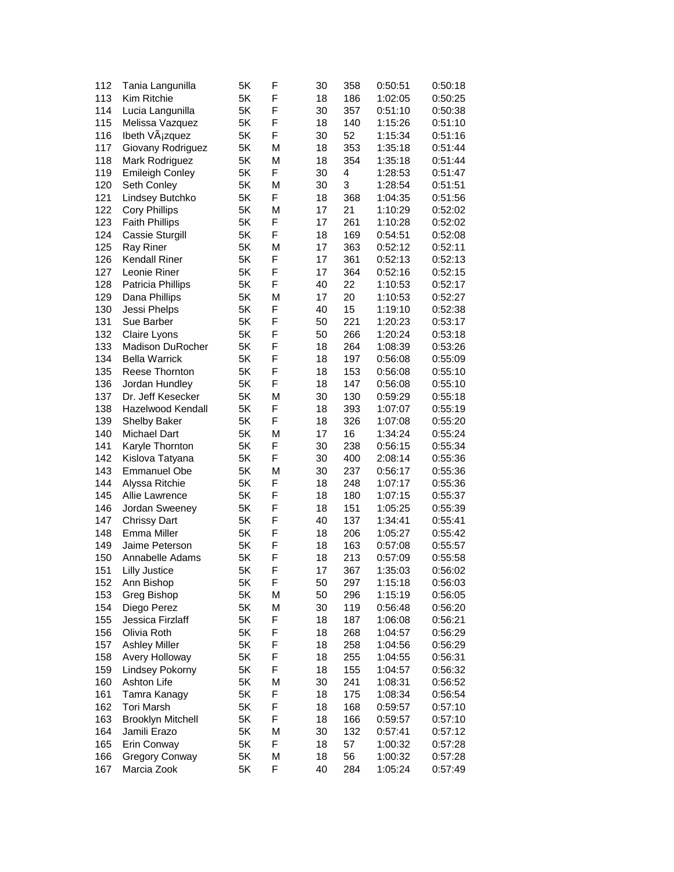| 112 | Tania Langunilla            | 5K | F | 30 | 358 | 0:50:51 | 0:50:18            |
|-----|-----------------------------|----|---|----|-----|---------|--------------------|
| 113 | Kim Ritchie                 | 5K | F | 18 | 186 | 1:02:05 | 0:50:25            |
| 114 | Lucia Langunilla            | 5K | F | 30 | 357 | 0:51:10 | 0:50:38            |
| 115 | Melissa Vazquez             | 5K | F | 18 | 140 | 1:15:26 | 0:51:10            |
| 116 | Ibeth VÄ <sub>j</sub> zquez | 5K | F | 30 | 52  | 1:15:34 | 0:51:16            |
| 117 | Giovany Rodriguez           | 5K | М | 18 | 353 | 1:35:18 | 0:51:44            |
| 118 | Mark Rodriguez              | 5K | М | 18 | 354 | 1:35:18 | 0:51:44            |
| 119 | <b>Emileigh Conley</b>      | 5K | F | 30 | 4   | 1:28:53 | 0:51:47            |
| 120 | Seth Conley                 | 5K | М | 30 | 3   | 1:28:54 | 0:51:51            |
| 121 | Lindsey Butchko             | 5K | F | 18 | 368 | 1:04:35 | 0:51:56            |
| 122 | <b>Cory Phillips</b>        | 5K | М | 17 | 21  | 1:10:29 | 0:52:02            |
| 123 | <b>Faith Phillips</b>       | 5K | F | 17 | 261 | 1:10:28 | 0:52:02            |
| 124 | Cassie Sturgill             | 5K | F | 18 | 169 | 0:54:51 | 0:52:08            |
| 125 | <b>Ray Riner</b>            | 5K | М | 17 | 363 | 0:52:12 | 0:52:11            |
| 126 | Kendall Riner               | 5K | F | 17 | 361 | 0:52:13 | 0:52:13            |
| 127 | Leonie Riner                | 5K | F | 17 | 364 | 0:52:16 | 0:52:15            |
| 128 | Patricia Phillips           | 5K | F | 40 | 22  | 1:10:53 | 0:52:17            |
| 129 | Dana Phillips               | 5K | М | 17 | 20  | 1:10:53 | 0:52:27            |
| 130 | Jessi Phelps                | 5K | F | 40 | 15  | 1:19:10 | 0:52:38            |
| 131 | Sue Barber                  | 5K | F | 50 | 221 | 1:20:23 | 0:53:17            |
| 132 | Claire Lyons                | 5K | F | 50 | 266 | 1:20:24 | 0:53:18            |
| 133 | Madison DuRocher            | 5K | F | 18 | 264 | 1:08:39 | 0:53:26            |
| 134 | <b>Bella Warrick</b>        | 5K | F | 18 | 197 | 0:56:08 | 0:55:09            |
| 135 | Reese Thornton              | 5K | F | 18 | 153 | 0:56:08 | 0:55:10            |
| 136 | Jordan Hundley              | 5K | F | 18 | 147 | 0:56:08 | 0:55:10            |
| 137 | Dr. Jeff Kesecker           | 5K | М | 30 | 130 | 0:59:29 | 0:55:18            |
| 138 | Hazelwood Kendall           | 5K | F | 18 | 393 | 1:07:07 | 0:55:19            |
| 139 | Shelby Baker                | 5K | F | 18 | 326 | 1:07:08 | 0:55:20            |
| 140 | <b>Michael Dart</b>         | 5K | М | 17 | 16  | 1:34:24 | 0:55:24            |
| 141 | Karyle Thornton             | 5K | F | 30 | 238 | 0:56:15 | 0:55:34            |
| 142 | Kislova Tatyana             | 5K | F | 30 | 400 | 2:08:14 | 0:55:36            |
| 143 | <b>Emmanuel Obe</b>         | 5K | М | 30 | 237 | 0:56:17 | 0:55:36            |
| 144 | Alyssa Ritchie              | 5K | F | 18 | 248 | 1:07:17 | 0:55:36            |
| 145 | Allie Lawrence              | 5K | F | 18 | 180 | 1:07:15 | 0:55:37            |
| 146 | Jordan Sweeney              | 5K | F | 18 | 151 | 1:05:25 | 0:55:39            |
|     |                             |    | F |    |     |         |                    |
| 147 | <b>Chrissy Dart</b>         | 5K | F | 40 | 137 | 1:34:41 | 0:55:41<br>0:55:42 |
| 148 | Emma Miller                 | 5K |   | 18 | 206 | 1:05:27 |                    |
| 149 | Jaime Peterson              | 5K | F | 18 | 163 | 0:57:08 | 0:55:57            |
| 150 | Annabelle Adams             | 5K | F | 18 | 213 | 0:57:09 | 0:55:58            |
| 151 | <b>Lilly Justice</b>        | 5K | F | 17 | 367 | 1:35:03 | 0:56:02            |
| 152 | Ann Bishop                  | 5K | F | 50 | 297 | 1:15:18 | 0:56:03            |
| 153 | Greg Bishop                 | 5K | Μ | 50 | 296 | 1:15:19 | 0:56:05            |
| 154 | Diego Perez                 | 5K | М | 30 | 119 | 0:56:48 | 0:56:20            |
| 155 | Jessica Firzlaff            | 5K | F | 18 | 187 | 1:06:08 | 0:56:21            |
| 156 | Olivia Roth                 | 5K | F | 18 | 268 | 1:04:57 | 0:56:29            |
| 157 | <b>Ashley Miller</b>        | 5K | F | 18 | 258 | 1:04:56 | 0:56:29            |
| 158 | Avery Holloway              | 5K | F | 18 | 255 | 1:04:55 | 0:56:31            |
| 159 | Lindsey Pokorny             | 5K | F | 18 | 155 | 1:04:57 | 0:56:32            |
| 160 | Ashton Life                 | 5Κ | Μ | 30 | 241 | 1:08:31 | 0:56:52            |
| 161 | Tamra Kanagy                | 5K | F | 18 | 175 | 1:08:34 | 0:56:54            |
| 162 | <b>Tori Marsh</b>           | 5K | F | 18 | 168 | 0:59:57 | 0:57:10            |
| 163 | <b>Brooklyn Mitchell</b>    | 5K | F | 18 | 166 | 0:59:57 | 0:57:10            |
| 164 | Jamili Erazo                | 5K | М | 30 | 132 | 0:57:41 | 0:57:12            |
| 165 | Erin Conway                 | 5Κ | F | 18 | 57  | 1:00:32 | 0:57:28            |
| 166 | <b>Gregory Conway</b>       | 5K | М | 18 | 56  | 1:00:32 | 0:57:28            |
| 167 | Marcia Zook                 | 5K | F | 40 | 284 | 1:05:24 | 0:57:49            |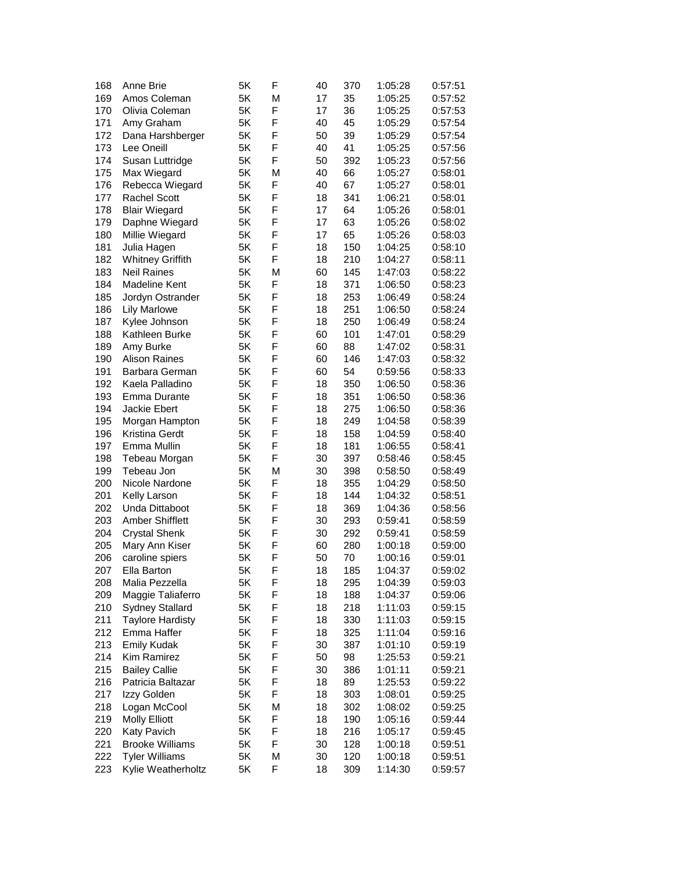| 168        | Anne Brie                              | 5K | F | 40 | 370 | 1:05:28 | 0:57:51            |
|------------|----------------------------------------|----|---|----|-----|---------|--------------------|
| 169        | Amos Coleman                           | 5K | М | 17 | 35  | 1:05:25 | 0:57:52            |
| 170        | Olivia Coleman                         | 5K | F | 17 | 36  | 1:05:25 | 0:57:53            |
| 171        | Amy Graham                             | 5K | F | 40 | 45  | 1:05:29 | 0:57:54            |
| 172        | Dana Harshberger                       | 5K | F | 50 | 39  | 1:05:29 | 0:57:54            |
| 173        | Lee Oneill                             | 5K | F | 40 | 41  | 1:05:25 | 0:57:56            |
| 174        | Susan Luttridge                        | 5K | F | 50 | 392 | 1:05:23 | 0:57:56            |
| 175        | Max Wiegard                            | 5K | М | 40 | 66  | 1:05:27 | 0:58:01            |
| 176        | Rebecca Wiegard                        | 5K | F | 40 | 67  | 1:05:27 | 0:58:01            |
| 177        | <b>Rachel Scott</b>                    | 5K | F | 18 | 341 | 1:06:21 | 0:58:01            |
| 178        | <b>Blair Wiegard</b>                   | 5K | F | 17 | 64  | 1:05:26 | 0:58:01            |
| 179        | Daphne Wiegard                         | 5K | F | 17 | 63  | 1:05:26 | 0:58:02            |
| 180        | Millie Wiegard                         | 5K | F | 17 | 65  | 1:05:26 | 0:58:03            |
| 181        | Julia Hagen                            | 5K | F | 18 | 150 | 1:04:25 | 0:58:10            |
| 182        | <b>Whitney Griffith</b>                | 5K | F | 18 | 210 | 1:04:27 | 0:58:11            |
| 183        | Neil Raines                            | 5K | М | 60 | 145 | 1:47:03 | 0:58:22            |
| 184        | Madeline Kent                          | 5K | F | 18 | 371 | 1:06:50 | 0:58:23            |
| 185        | Jordyn Ostrander                       | 5K | F | 18 | 253 | 1:06:49 | 0:58:24            |
| 186        | <b>Lily Marlowe</b>                    | 5K | F | 18 | 251 | 1:06:50 | 0:58:24            |
| 187        | Kylee Johnson                          | 5K | F | 18 | 250 | 1:06:49 | 0:58:24            |
| 188        | Kathleen Burke                         | 5K | F | 60 | 101 | 1:47:01 | 0:58:29            |
| 189        | Amy Burke                              | 5K | F | 60 | 88  | 1:47:02 | 0:58:31            |
| 190        | <b>Alison Raines</b>                   | 5K | F | 60 | 146 | 1:47:03 | 0:58:32            |
| 191        | Barbara German                         | 5K | F | 60 | 54  | 0:59:56 | 0:58:33            |
| 192        | Kaela Palladino                        | 5K | F | 18 | 350 | 1:06:50 | 0:58:36            |
| 193        | Emma Durante                           | 5K | F | 18 | 351 | 1:06:50 | 0:58:36            |
| 194        | Jackie Ebert                           | 5K | F | 18 | 275 | 1:06:50 | 0:58:36            |
| 195        | Morgan Hampton                         | 5K | F | 18 | 249 | 1:04:58 | 0:58:39            |
| 196        | Kristina Gerdt                         | 5K | F | 18 | 158 | 1:04:59 | 0:58:40            |
| 197        | Emma Mullin                            | 5K | F | 18 | 181 | 1:06:55 | 0:58:41            |
| 198        | Tebeau Morgan                          | 5K | F | 30 | 397 | 0:58:46 | 0:58:45            |
| 199        | Tebeau Jon                             | 5K | М | 30 | 398 | 0:58:50 | 0:58:49            |
| 200        | Nicole Nardone                         | 5K | F | 18 | 355 | 1:04:29 | 0:58:50            |
| 201        | Kelly Larson                           | 5K | F | 18 | 144 | 1:04:32 | 0:58:51            |
| 202        | Unda Dittaboot                         | 5K | F | 18 | 369 | 1:04:36 | 0:58:56            |
| 203        | <b>Amber Shifflett</b>                 | 5K | F | 30 | 293 | 0:59:41 | 0:58:59            |
| 204        | <b>Crystal Shenk</b>                   | 5K | F | 30 | 292 | 0:59:41 | 0:58:59            |
| 205        | Mary Ann Kiser                         | 5K | F | 60 | 280 | 1:00:18 | 0:59:00            |
| 206        | caroline spiers                        | 5K | F | 50 | 70  | 1:00:16 | 0:59:01            |
| 207        | Ella Barton                            | 5K | F | 18 | 185 | 1:04:37 | 0:59:02            |
|            | Malia Pezzella                         | 5Κ | F | 18 | 295 | 1:04:39 |                    |
| 208<br>209 | Maggie Taliaferro                      | 5K | F | 18 | 188 | 1:04:37 | 0:59:03            |
| 210        | <b>Sydney Stallard</b>                 | 5K | F | 18 | 218 |         | 0:59:06<br>0:59:15 |
| 211        |                                        | 5K | F | 18 | 330 | 1:11:03 | 0:59:15            |
|            | <b>Taylore Hardisty</b><br>Emma Haffer |    | F |    | 325 | 1:11:03 |                    |
| 212        |                                        | 5Κ |   | 18 |     | 1:11:04 | 0:59:16            |
| 213        | <b>Emily Kudak</b>                     | 5Κ | F | 30 | 387 | 1:01:10 | 0:59:19            |
| 214        | Kim Ramirez                            | 5K | F | 50 | 98  | 1:25:53 | 0:59:21            |
| 215        | <b>Bailey Callie</b>                   | 5K | F | 30 | 386 | 1:01:11 | 0:59:21            |
| 216        | Patricia Baltazar                      | 5Κ | F | 18 | 89  | 1:25:53 | 0:59:22            |
| 217        | Izzy Golden                            | 5K | F | 18 | 303 | 1:08:01 | 0:59:25            |
| 218        | Logan McCool                           | 5K | М | 18 | 302 | 1:08:02 | 0:59:25            |
| 219        | <b>Molly Elliott</b>                   | 5K | F | 18 | 190 | 1:05:16 | 0:59:44            |
| 220        | Katy Pavich                            | 5K | F | 18 | 216 | 1:05:17 | 0:59:45            |
| 221        | <b>Brooke Williams</b>                 | 5Κ | F | 30 | 128 | 1:00:18 | 0:59:51            |
| 222        | <b>Tyler Williams</b>                  | 5Κ | М | 30 | 120 | 1:00:18 | 0:59:51            |
| 223        | Kylie Weatherholtz                     | 5K | F | 18 | 309 | 1:14:30 | 0:59:57            |